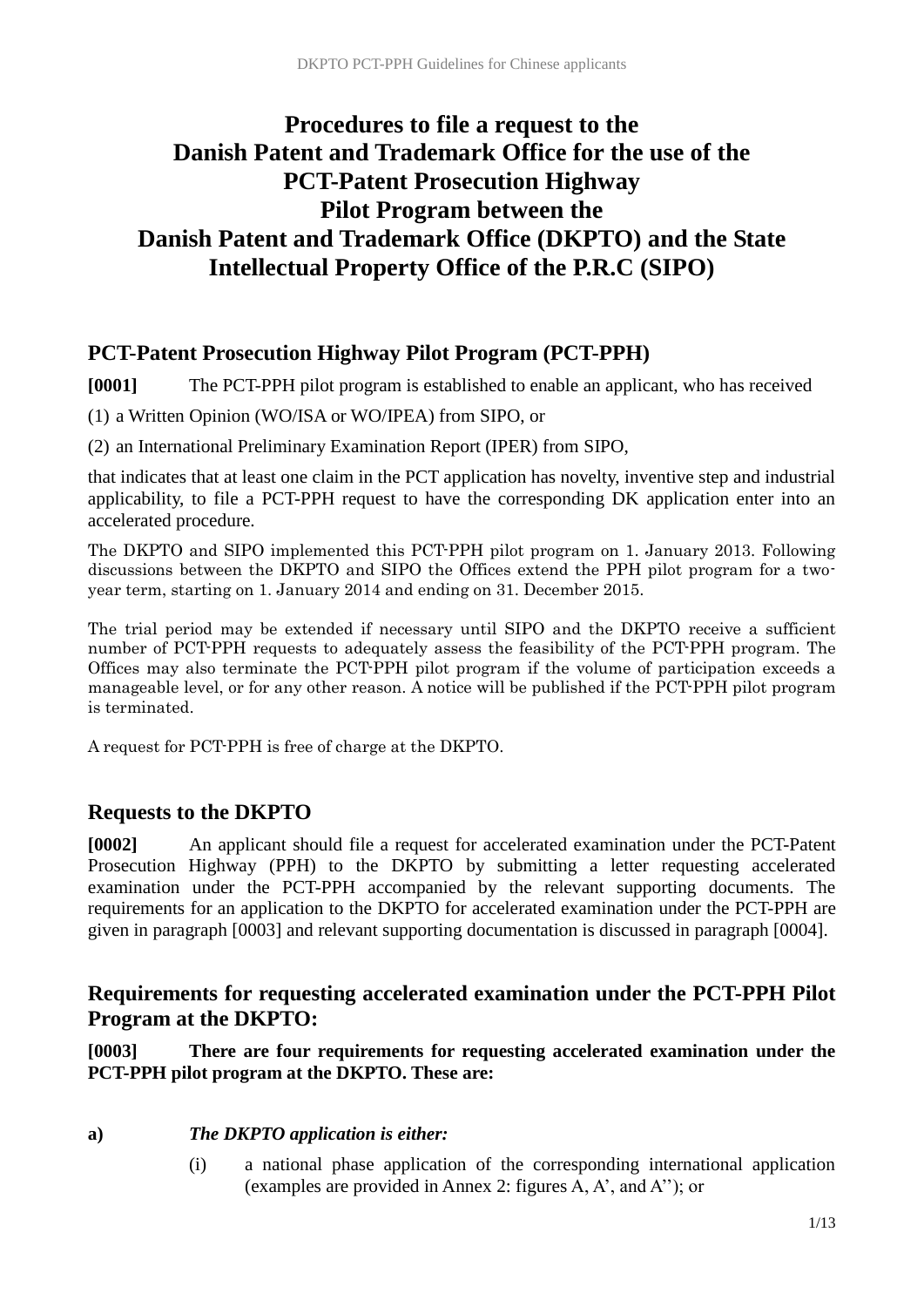## **Procedures to file a request to the Danish Patent and Trademark Office for the use of the PCT-Patent Prosecution Highway Pilot Program between the Danish Patent and Trademark Office (DKPTO) and the State Intellectual Property Office of the P.R.C (SIPO)**

## **PCT-Patent Prosecution Highway Pilot Program (PCT-PPH)**

**[0001]** The PCT-PPH pilot program is established to enable an applicant, who has received

(1) a Written Opinion (WO/ISA or WO/IPEA) from SIPO, or

(2) an International Preliminary Examination Report (IPER) from SIPO,

that indicates that at least one claim in the PCT application has novelty, inventive step and industrial applicability, to file a PCT-PPH request to have the corresponding DK application enter into an accelerated procedure.

The DKPTO and SIPO implemented this PCT-PPH pilot program on 1. January 2013. Following discussions between the DKPTO and SIPO the Offices extend the PPH pilot program for a twoyear term, starting on 1. January 2014 and ending on 31. December 2015.

The trial period may be extended if necessary until SIPO and the DKPTO receive a sufficient number of PCT-PPH requests to adequately assess the feasibility of the PCT-PPH program. The Offices may also terminate the PCT-PPH pilot program if the volume of participation exceeds a manageable level, or for any other reason. A notice will be published if the PCT-PPH pilot program is terminated.

A request for PCT-PPH is free of charge at the DKPTO.

## **Requests to the DKPTO**

**[0002]** An applicant should file a request for accelerated examination under the PCT-Patent Prosecution Highway (PPH) to the DKPTO by submitting a letter requesting accelerated examination under the PCT-PPH accompanied by the relevant supporting documents. The requirements for an application to the DKPTO for accelerated examination under the PCT-PPH are given in paragraph [0003] and relevant supporting documentation is discussed in paragraph [0004].

## **Requirements for requesting accelerated examination under the PCT-PPH Pilot Program at the DKPTO:**

**[0003] There are four requirements for requesting accelerated examination under the PCT-PPH pilot program at the DKPTO. These are:**

#### **a)** *The DKPTO application is either:*

(i) a national phase application of the corresponding international application (examples are provided in Annex 2: figures A, A', and A''); or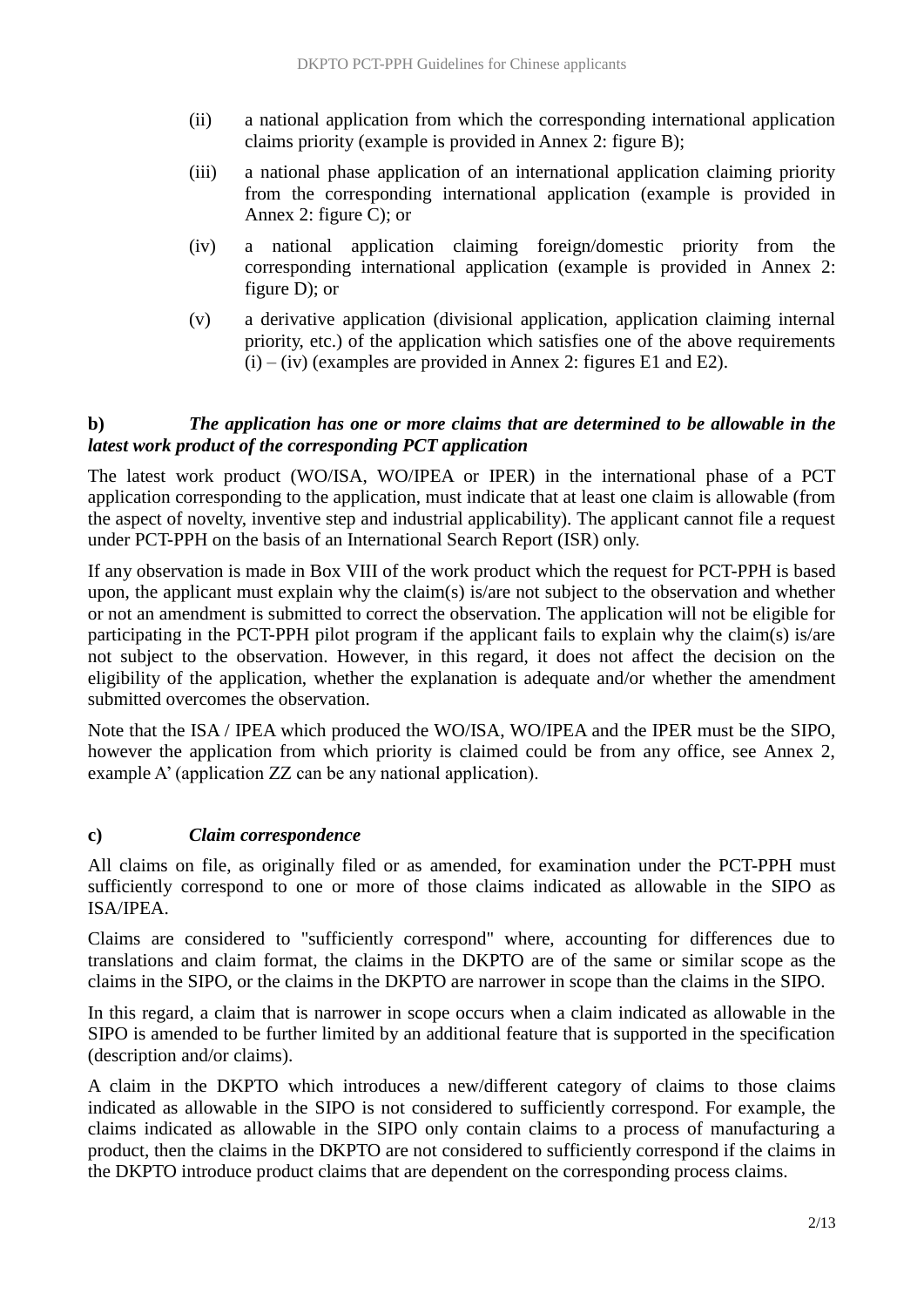- (ii) a national application from which the corresponding international application claims priority (example is provided in Annex 2: figure B);
- (iii) a national phase application of an international application claiming priority from the corresponding international application (example is provided in Annex 2: figure C); or
- (iv) a national application claiming foreign/domestic priority from the corresponding international application (example is provided in Annex 2: figure D); or
- (v) a derivative application (divisional application, application claiming internal priority, etc.) of the application which satisfies one of the above requirements  $(i) - (iv)$  (examples are provided in Annex 2: figures E1 and E2).

## **b)** *The application has one or more claims that are determined to be allowable in the latest work product of the corresponding PCT application*

The latest work product (WO/ISA, WO/IPEA or IPER) in the international phase of a PCT application corresponding to the application, must indicate that at least one claim is allowable (from the aspect of novelty, inventive step and industrial applicability). The applicant cannot file a request under PCT-PPH on the basis of an International Search Report (ISR) only.

If any observation is made in Box VIII of the work product which the request for PCT-PPH is based upon, the applicant must explain why the claim(s) is/are not subject to the observation and whether or not an amendment is submitted to correct the observation. The application will not be eligible for participating in the PCT-PPH pilot program if the applicant fails to explain why the claim(s) is/are not subject to the observation. However, in this regard, it does not affect the decision on the eligibility of the application, whether the explanation is adequate and/or whether the amendment submitted overcomes the observation.

Note that the ISA / IPEA which produced the WO/ISA, WO/IPEA and the IPER must be the SIPO, however the application from which priority is claimed could be from any office, see Annex 2, example A' (application ZZ can be any national application).

## **c)** *Claim correspondence*

All claims on file, as originally filed or as amended, for examination under the PCT-PPH must sufficiently correspond to one or more of those claims indicated as allowable in the SIPO as ISA/IPEA.

Claims are considered to "sufficiently correspond" where, accounting for differences due to translations and claim format, the claims in the DKPTO are of the same or similar scope as the claims in the SIPO, or the claims in the DKPTO are narrower in scope than the claims in the SIPO.

In this regard, a claim that is narrower in scope occurs when a claim indicated as allowable in the SIPO is amended to be further limited by an additional feature that is supported in the specification (description and/or claims).

A claim in the DKPTO which introduces a new/different category of claims to those claims indicated as allowable in the SIPO is not considered to sufficiently correspond. For example, the claims indicated as allowable in the SIPO only contain claims to a process of manufacturing a product, then the claims in the DKPTO are not considered to sufficiently correspond if the claims in the DKPTO introduce product claims that are dependent on the corresponding process claims.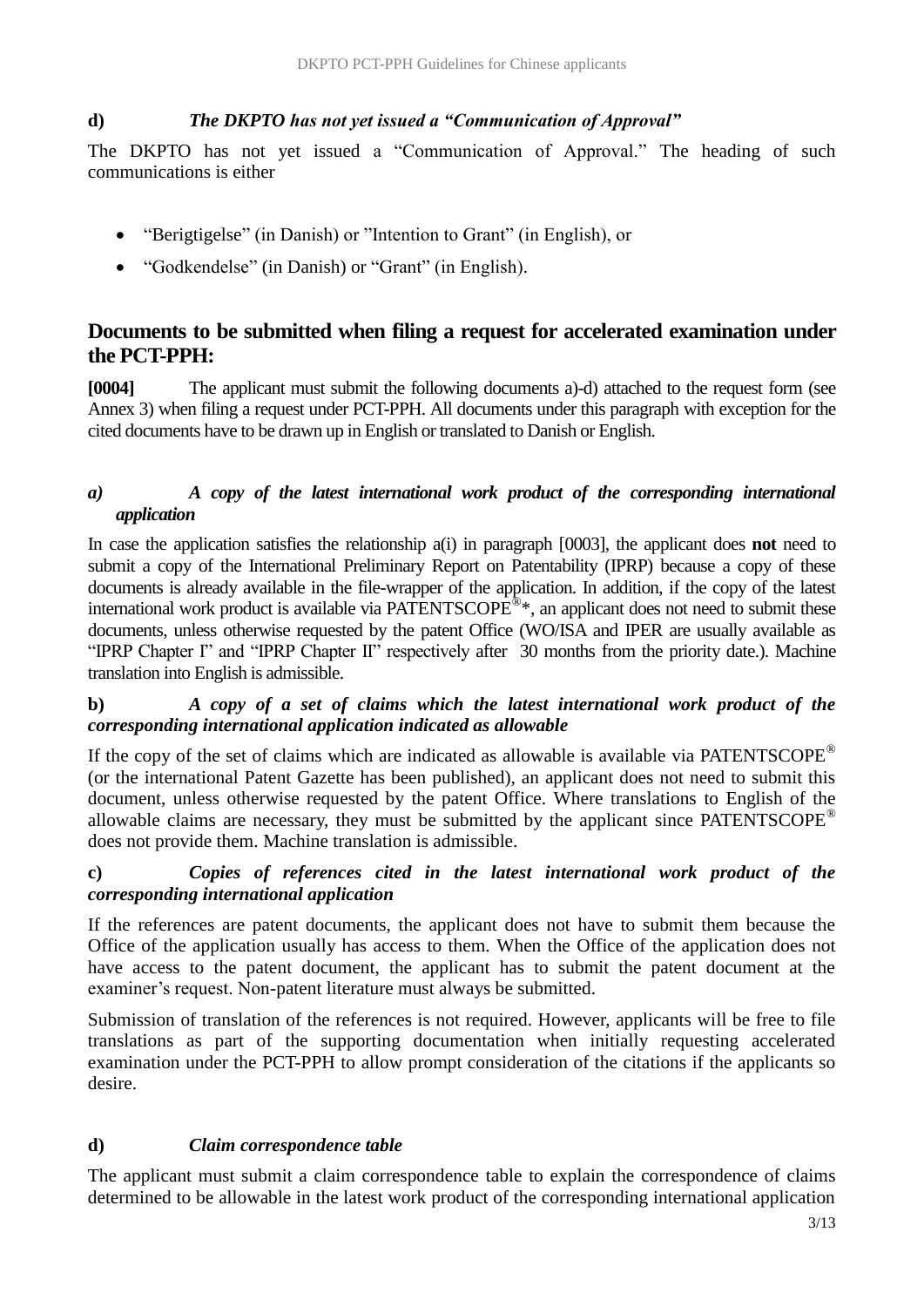## **d)** *The DKPTO has not yet issued a "Communication of Approval"*

The DKPTO has not yet issued a "Communication of Approval." The heading of such communications is either

- "Berigtigelse" (in Danish) or "Intention to Grant" (in English), or
- "Godkendelse" (in Danish) or "Grant" (in English).

## **Documents to be submitted when filing a request for accelerated examination under the PCT-PPH:**

**[0004]** The applicant must submit the following documents a)-d) attached to the request form (see Annex 3) when filing a request under PCT-PPH. All documents under this paragraph with exception for the cited documents have to be drawn up in English or translated to Danish or English.

#### *a) A copy of the latest international work product of the corresponding international application*

In case the application satisfies the relationship a(i) in paragraph [0003], the applicant does **not** need to submit a copy of the International Preliminary Report on Patentability (IPRP) because a copy of these documents is already available in the file-wrapper of the application. In addition, if the copy of the latest international work product is available via PATENTSCOPE<sup>®\*</sup>, an applicant does not need to submit these documents, unless otherwise requested by the patent Office (WO/ISA and IPER are usually available as "IPRP Chapter I" and "IPRP Chapter II" respectively after 30 months from the priority date.). Machine translation into English is admissible.

## **b)** *A copy of a set of claims which the latest international work product of the corresponding international application indicated as allowable*

If the copy of the set of claims which are indicated as allowable is available via PATENTSCOPE<sup>®</sup> (or the international Patent Gazette has been published), an applicant does not need to submit this document, unless otherwise requested by the patent Office. Where translations to English of the allowable claims are necessary, they must be submitted by the applicant since  $PATENTSCOPE^{\circledcirc}$ does not provide them. Machine translation is admissible.

#### **c)** *Copies of references cited in the latest international work product of the corresponding international application*

If the references are patent documents, the applicant does not have to submit them because the Office of the application usually has access to them. When the Office of the application does not have access to the patent document, the applicant has to submit the patent document at the examiner's request. Non-patent literature must always be submitted.

Submission of translation of the references is not required. However, applicants will be free to file translations as part of the supporting documentation when initially requesting accelerated examination under the PCT-PPH to allow prompt consideration of the citations if the applicants so desire.

## **d)** *Claim correspondence table*

The applicant must submit a claim correspondence table to explain the correspondence of claims determined to be allowable in the latest work product of the corresponding international application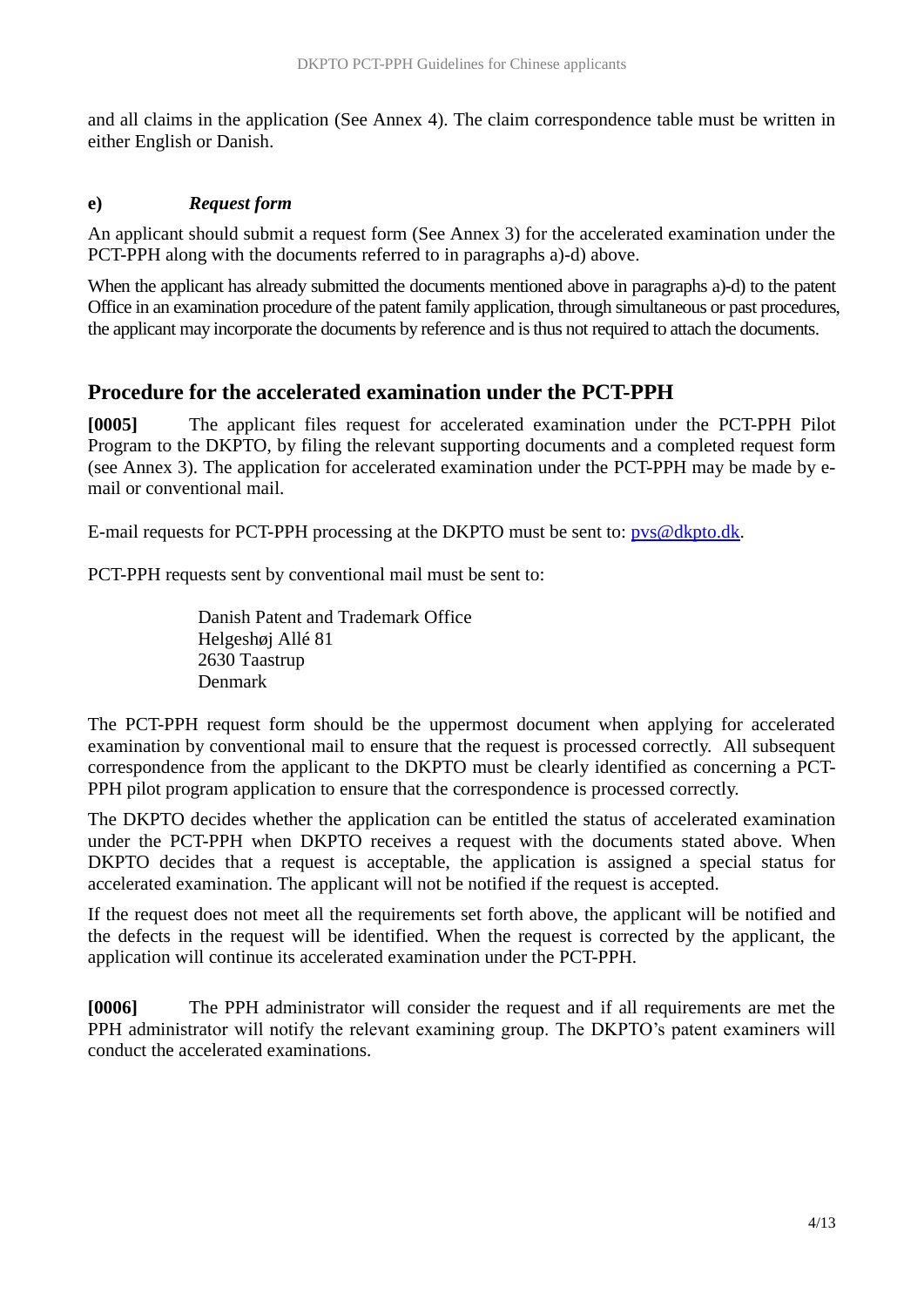and all claims in the application (See Annex 4). The claim correspondence table must be written in either English or Danish.

#### **e)** *Request form*

An applicant should submit a request form (See Annex 3) for the accelerated examination under the PCT-PPH along with the documents referred to in paragraphs a)-d) above.

When the applicant has already submitted the documents mentioned above in paragraphs a)-d) to the patent Office in an examination procedure of the patent family application, through simultaneous or past procedures, the applicant may incorporate the documents by reference and is thus not required to attach the documents.

## **Procedure for the accelerated examination under the PCT-PPH**

**[0005]** The applicant files request for accelerated examination under the PCT-PPH Pilot Program to the DKPTO, by filing the relevant supporting documents and a completed request form (see Annex 3). The application for accelerated examination under the PCT-PPH may be made by email or conventional mail.

E-mail requests for PCT-PPH processing at the DKPTO must be sent to: [pvs@dkpto.dk.](mailto:pvs@dkpto.dk)

PCT-PPH requests sent by conventional mail must be sent to:

Danish Patent and Trademark Office Helgeshøj Allé 81 2630 Taastrup Denmark

The PCT-PPH request form should be the uppermost document when applying for accelerated examination by conventional mail to ensure that the request is processed correctly. All subsequent correspondence from the applicant to the DKPTO must be clearly identified as concerning a PCT-PPH pilot program application to ensure that the correspondence is processed correctly.

The DKPTO decides whether the application can be entitled the status of accelerated examination under the PCT-PPH when DKPTO receives a request with the documents stated above. When DKPTO decides that a request is acceptable, the application is assigned a special status for accelerated examination. The applicant will not be notified if the request is accepted.

If the request does not meet all the requirements set forth above, the applicant will be notified and the defects in the request will be identified. When the request is corrected by the applicant, the application will continue its accelerated examination under the PCT-PPH.

**[0006]** The PPH administrator will consider the request and if all requirements are met the PPH administrator will notify the relevant examining group. The DKPTO's patent examiners will conduct the accelerated examinations.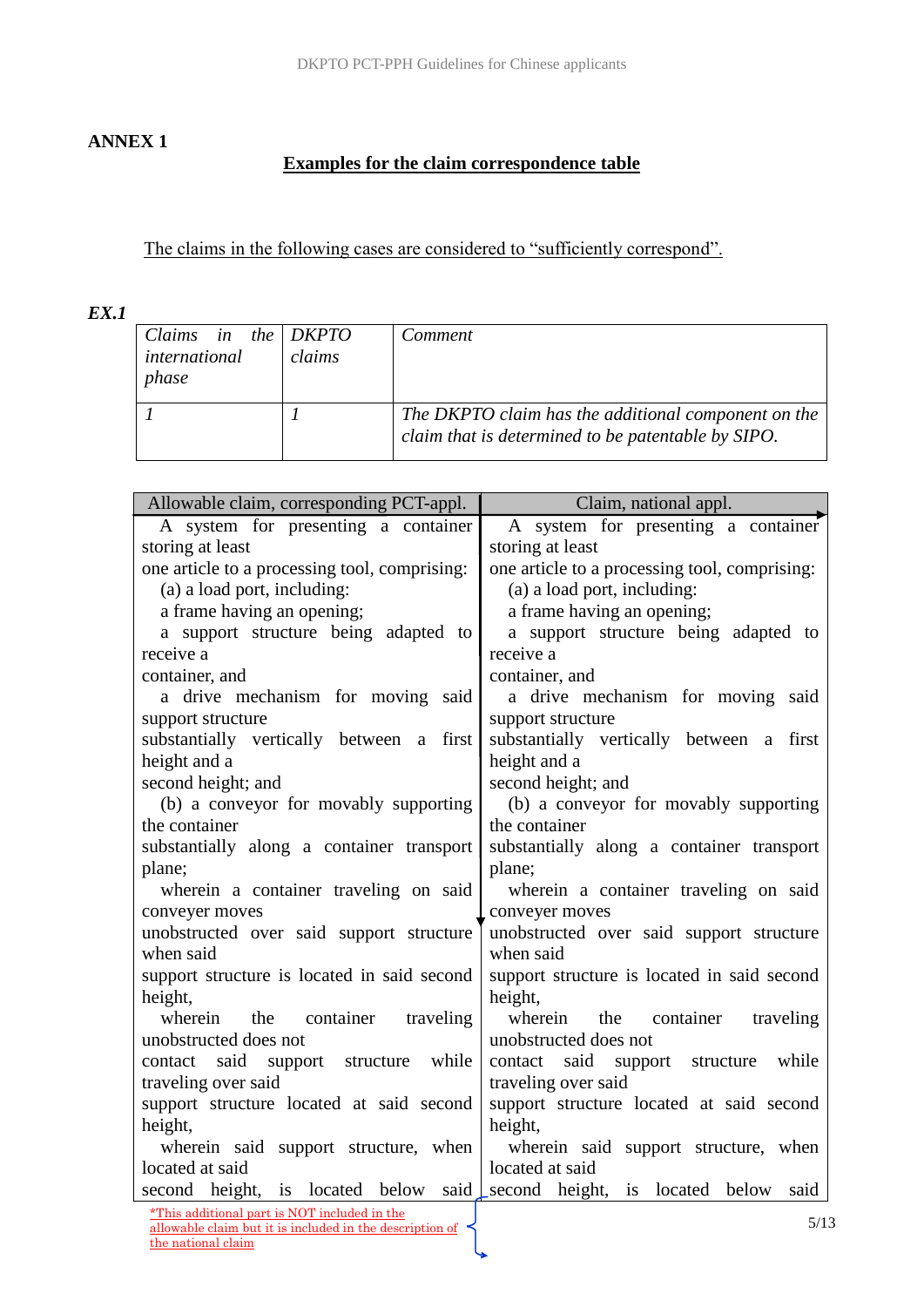## **ANNEX 1**

## **Examples for the claim correspondence table**

The claims in the following cases are considered to "sufficiently correspond".

## *EX.1*

| Claims in the $DKPTO$<br>international<br>phase | claims | Comment                                                                                                   |
|-------------------------------------------------|--------|-----------------------------------------------------------------------------------------------------------|
|                                                 |        | The DKPTO claim has the additional component on the<br>claim that is determined to be patentable by SIPO. |

| Allowable claim, corresponding PCT-appl.                                       | Claim, national appl.                         |  |
|--------------------------------------------------------------------------------|-----------------------------------------------|--|
| A system for presenting a container                                            | A system for presenting a container           |  |
| storing at least                                                               | storing at least                              |  |
| one article to a processing tool, comprising:                                  | one article to a processing tool, comprising: |  |
| (a) a load port, including:                                                    | (a) a load port, including:                   |  |
| a frame having an opening;                                                     | a frame having an opening;                    |  |
| a support structure being adapted to                                           | a support structure being adapted to          |  |
| receive a                                                                      | receive a                                     |  |
| container, and                                                                 | container, and                                |  |
| a drive mechanism for moving said                                              | a drive mechanism for moving said             |  |
| support structure                                                              | support structure                             |  |
| substantially vertically between a first                                       | substantially vertically between a first      |  |
| height and a                                                                   | height and a                                  |  |
| second height; and                                                             | second height; and                            |  |
| (b) a conveyor for movably supporting                                          | (b) a conveyor for movably supporting         |  |
| the container                                                                  | the container                                 |  |
| substantially along a container transport                                      | substantially along a container transport     |  |
| plane;                                                                         | plane;                                        |  |
| wherein a container traveling on said                                          | wherein a container traveling on said         |  |
| conveyer moves                                                                 | conveyer moves                                |  |
| unobstructed over said support structure                                       | unobstructed over said support structure      |  |
| when said                                                                      | when said                                     |  |
| support structure is located in said second                                    | support structure is located in said second   |  |
| height,                                                                        | height,                                       |  |
| wherein<br>container<br>traveling<br>the                                       | wherein<br>container<br>the<br>traveling      |  |
| unobstructed does not                                                          | unobstructed does not                         |  |
| said<br>support structure while<br>contact                                     | said<br>while<br>contact<br>support structure |  |
| traveling over said                                                            | traveling over said                           |  |
| support structure located at said second                                       | support structure located at said second      |  |
| height,                                                                        | height,                                       |  |
| wherein said support structure, when                                           | wherein said support structure, when          |  |
| located at said                                                                | located at said                               |  |
| second height, is located below said second height, is located below           | said                                          |  |
| *This additional part is NOT included in the                                   | 5/13                                          |  |
| allowable claim but it is included in the description of<br>the national claim |                                               |  |
|                                                                                |                                               |  |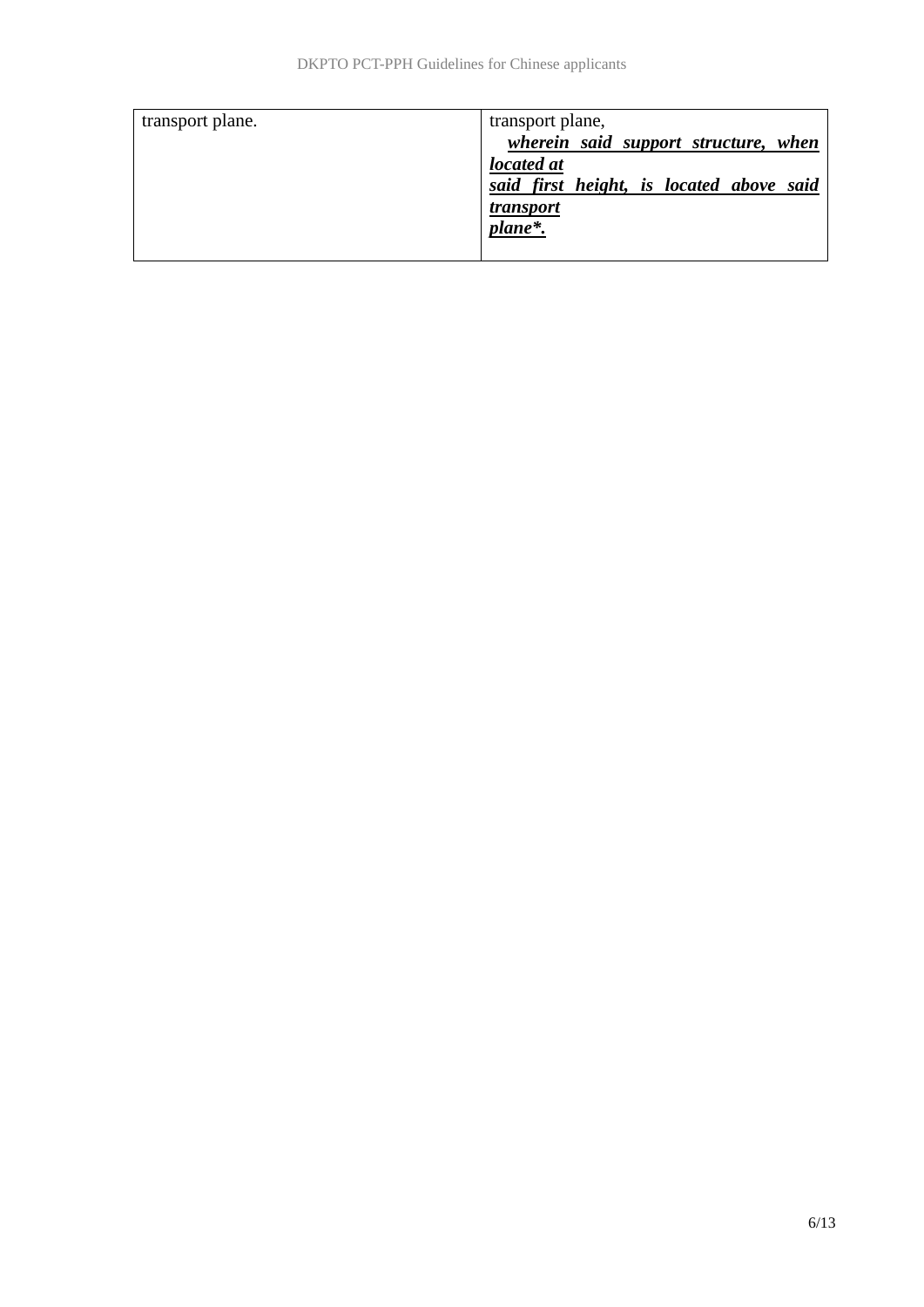| transport plane. | transport plane,                         |
|------------------|------------------------------------------|
|                  | wherein said support structure, when     |
|                  | located at                               |
|                  | said first height, is located above said |
|                  | <i>transport</i>                         |
|                  | plane*.                                  |
|                  |                                          |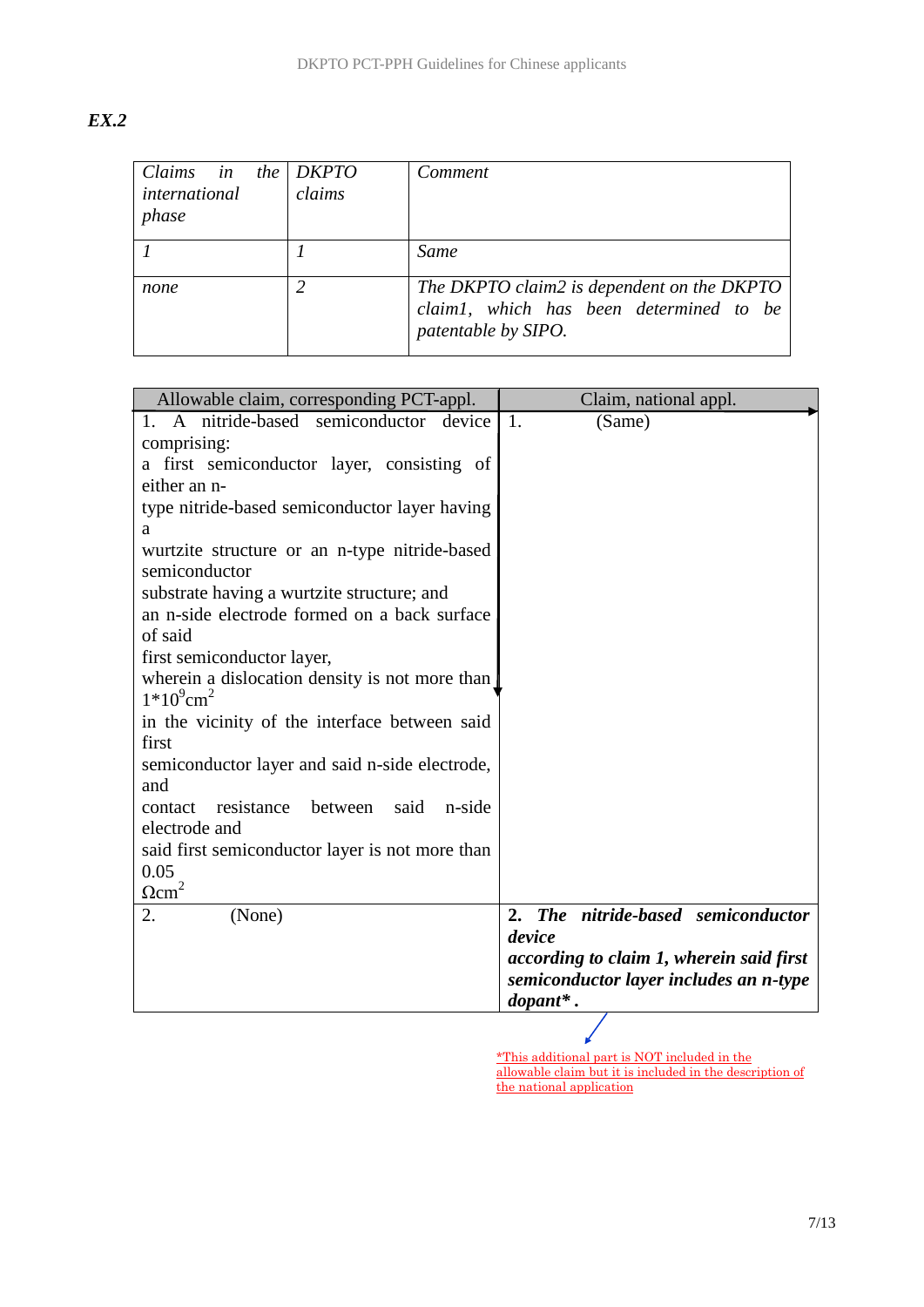| v<br>۰. |
|---------|
|---------|

| Claims in the $DKPTO$<br>international<br>phase | claims | Comment                                                                                                      |
|-------------------------------------------------|--------|--------------------------------------------------------------------------------------------------------------|
|                                                 |        | Same                                                                                                         |
| none                                            |        | The DKPTO claim2 is dependent on the DKPTO<br>claim1, which has been determined to be<br>patentable by SIPO. |

| Allowable claim, corresponding PCT-appl.                                   | Claim, national appl.                                                              |
|----------------------------------------------------------------------------|------------------------------------------------------------------------------------|
| 1. A nitride-based semiconductor<br>device                                 | 1.<br>(Same)                                                                       |
| comprising:                                                                |                                                                                    |
| a first semiconductor layer, consisting of                                 |                                                                                    |
| either an n-                                                               |                                                                                    |
| type nitride-based semiconductor layer having                              |                                                                                    |
| a                                                                          |                                                                                    |
| wurtzite structure or an n-type nitride-based<br>semiconductor             |                                                                                    |
| substrate having a wurtzite structure; and                                 |                                                                                    |
| an n-side electrode formed on a back surface                               |                                                                                    |
| of said                                                                    |                                                                                    |
| first semiconductor layer,                                                 |                                                                                    |
| wherein a dislocation density is not more than<br>$1*10^9$ cm <sup>2</sup> |                                                                                    |
| in the vicinity of the interface between said                              |                                                                                    |
| first                                                                      |                                                                                    |
| semiconductor layer and said n-side electrode,                             |                                                                                    |
| and                                                                        |                                                                                    |
| resistance between<br>said<br>n-side<br>contact                            |                                                                                    |
| electrode and                                                              |                                                                                    |
| said first semiconductor layer is not more than                            |                                                                                    |
| 0.05                                                                       |                                                                                    |
| $\Omega$ cm <sup>2</sup>                                                   |                                                                                    |
| 2.<br>(None)                                                               | The nitride-based semiconductor<br>2.                                              |
|                                                                            | device                                                                             |
|                                                                            | according to claim 1, wherein said first<br>semiconductor layer includes an n-type |
|                                                                            | $\boldsymbol{d}$ opant*.                                                           |
|                                                                            |                                                                                    |

\*This additional part is NOT included in the allowable claim but it is included in the description of the national application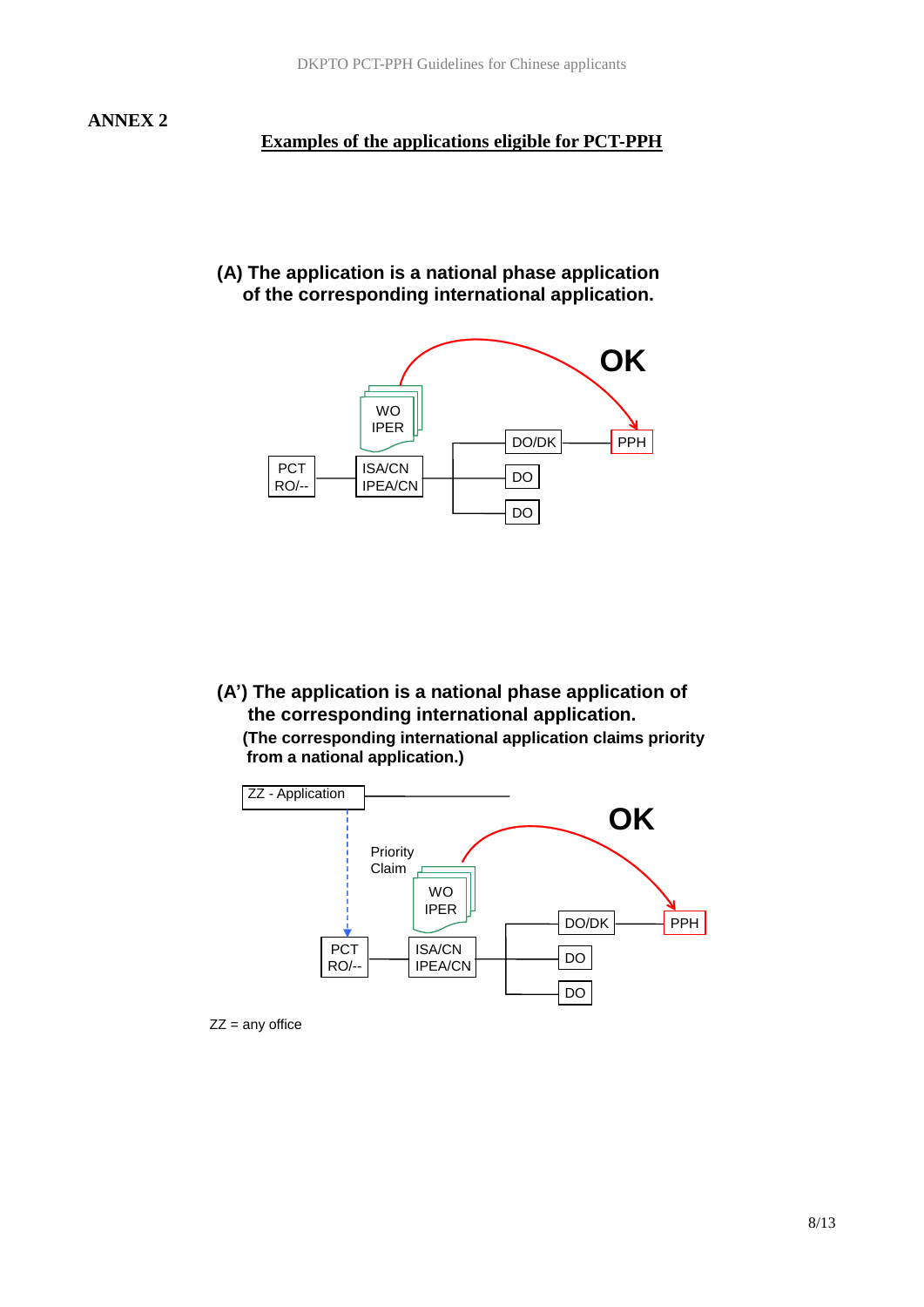#### **Examples of the applications eligible for PCT-PPH**

## **(A) The application is a national phase application of the corresponding international application.**



**(A') The application is a national phase application of the corresponding international application. (The corresponding international application claims priority from a national application.)**



 $ZZ =$  any office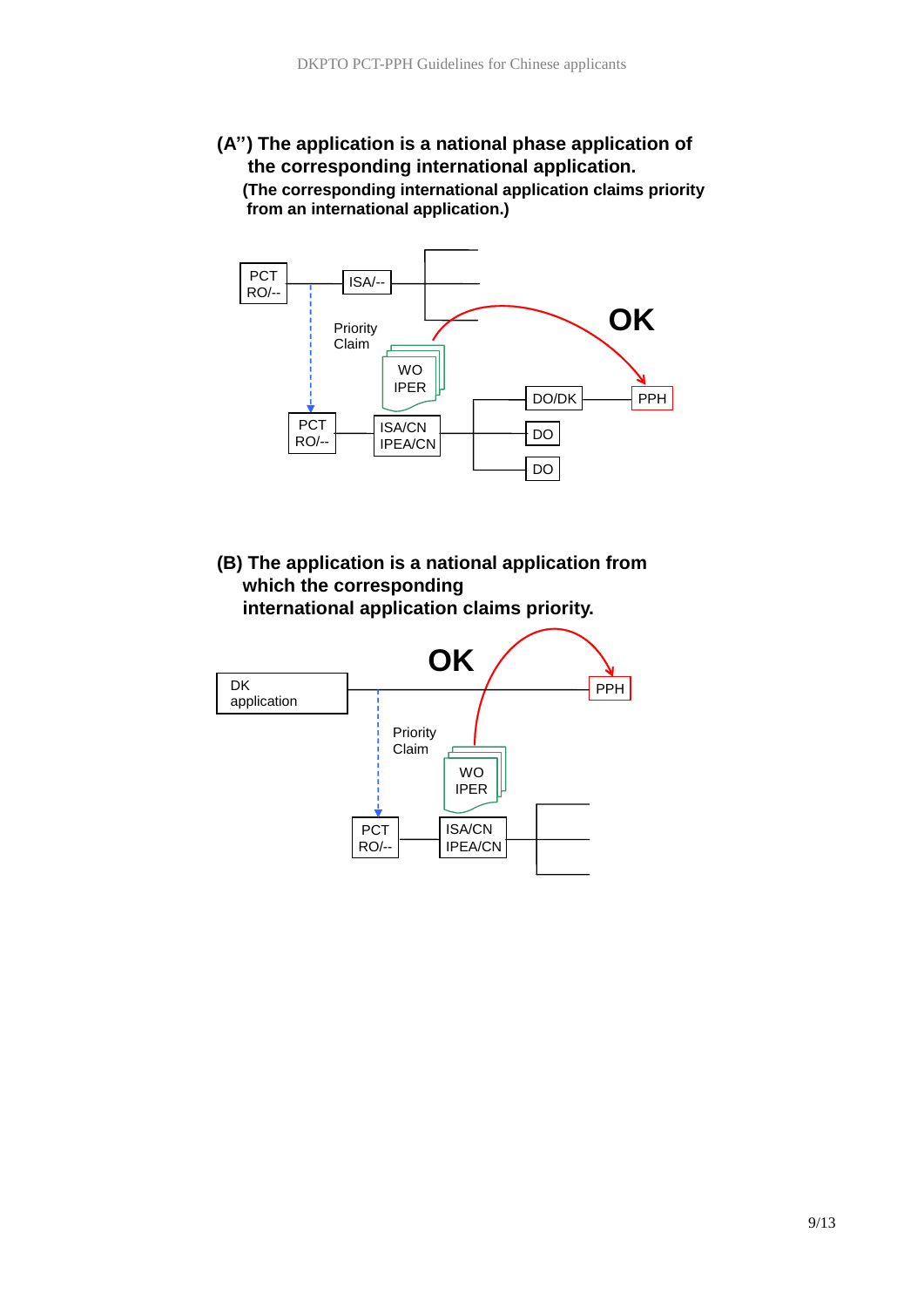## **(A'') The application is a national phase application of the corresponding international application. (The corresponding international application claims priority from an international application.)**



**(B) The application is a national application from which the corresponding international application claims priority.** 

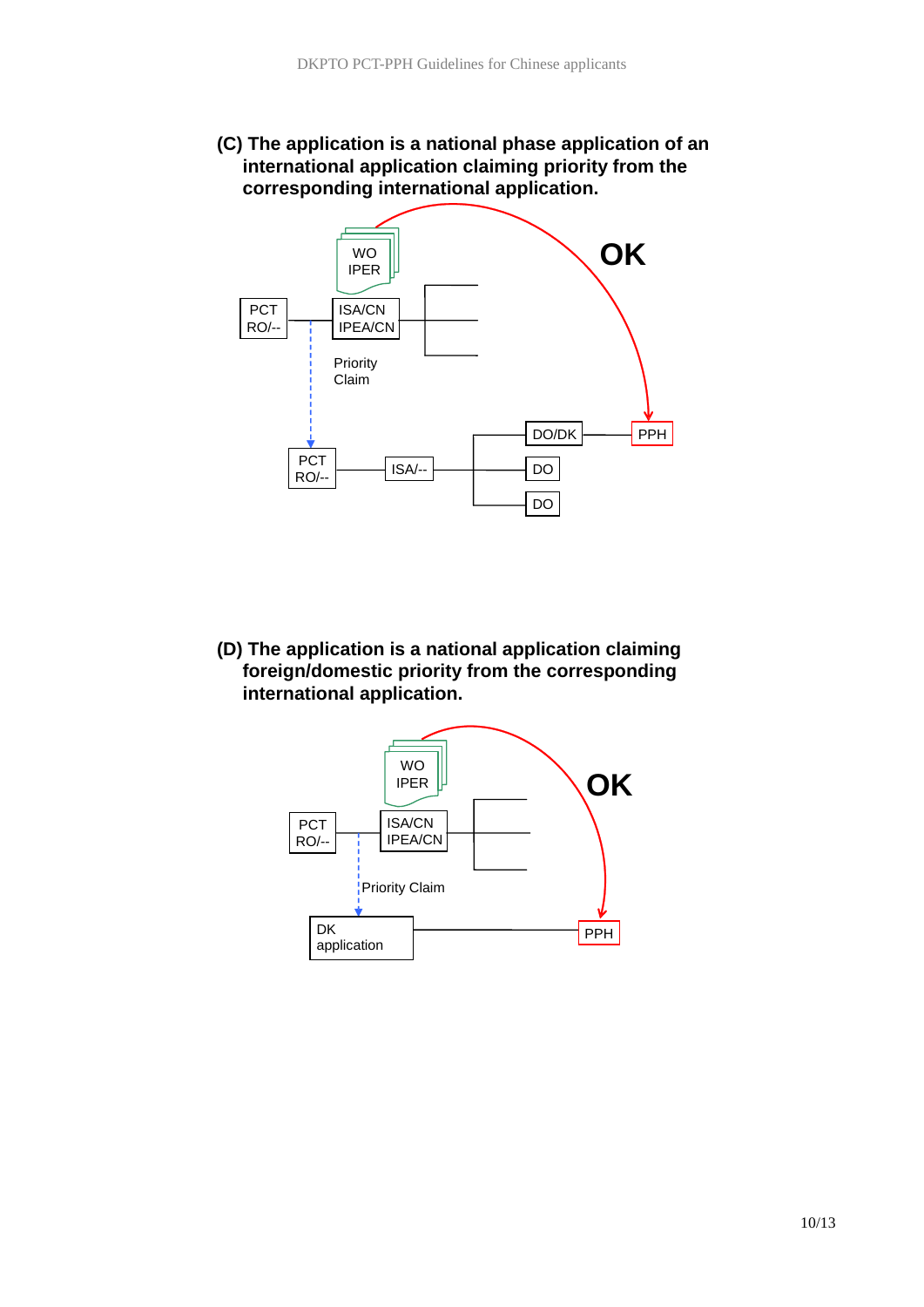**(C) The application is a national phase application of an international application claiming priority from the corresponding international application.**



**(D) The application is a national application claiming foreign/domestic priority from the corresponding international application.** 

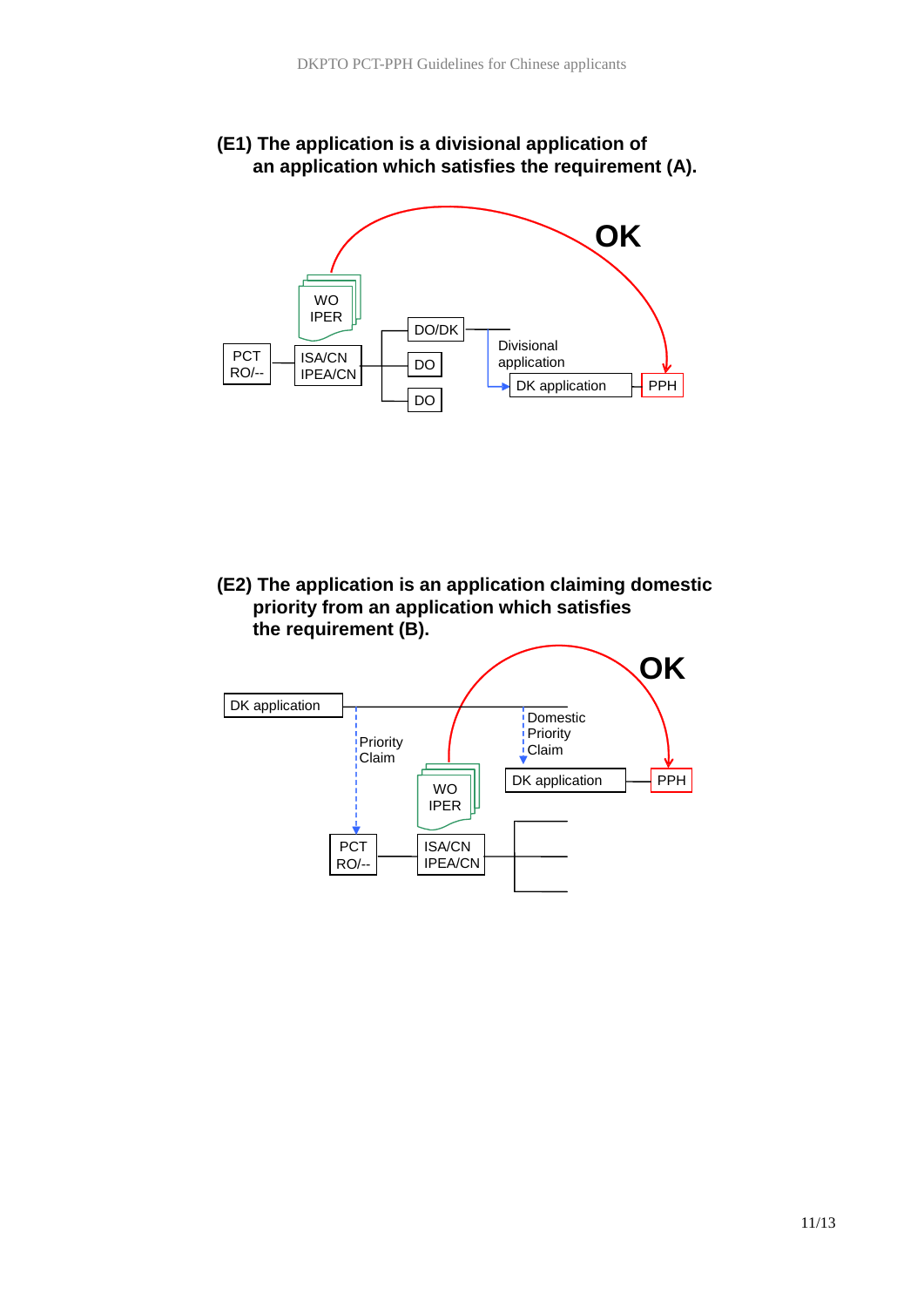

PPH

DK application

Divisional application

DO/DK

DO

PCT RO/--

ISA/CN

IPER

 $IBEA/CN$   $\theta$ 

# **(E1) The application is a divisional application of**

**(E2) The application is an application claiming domestic priority from an application which satisfies the requirement (B).** 

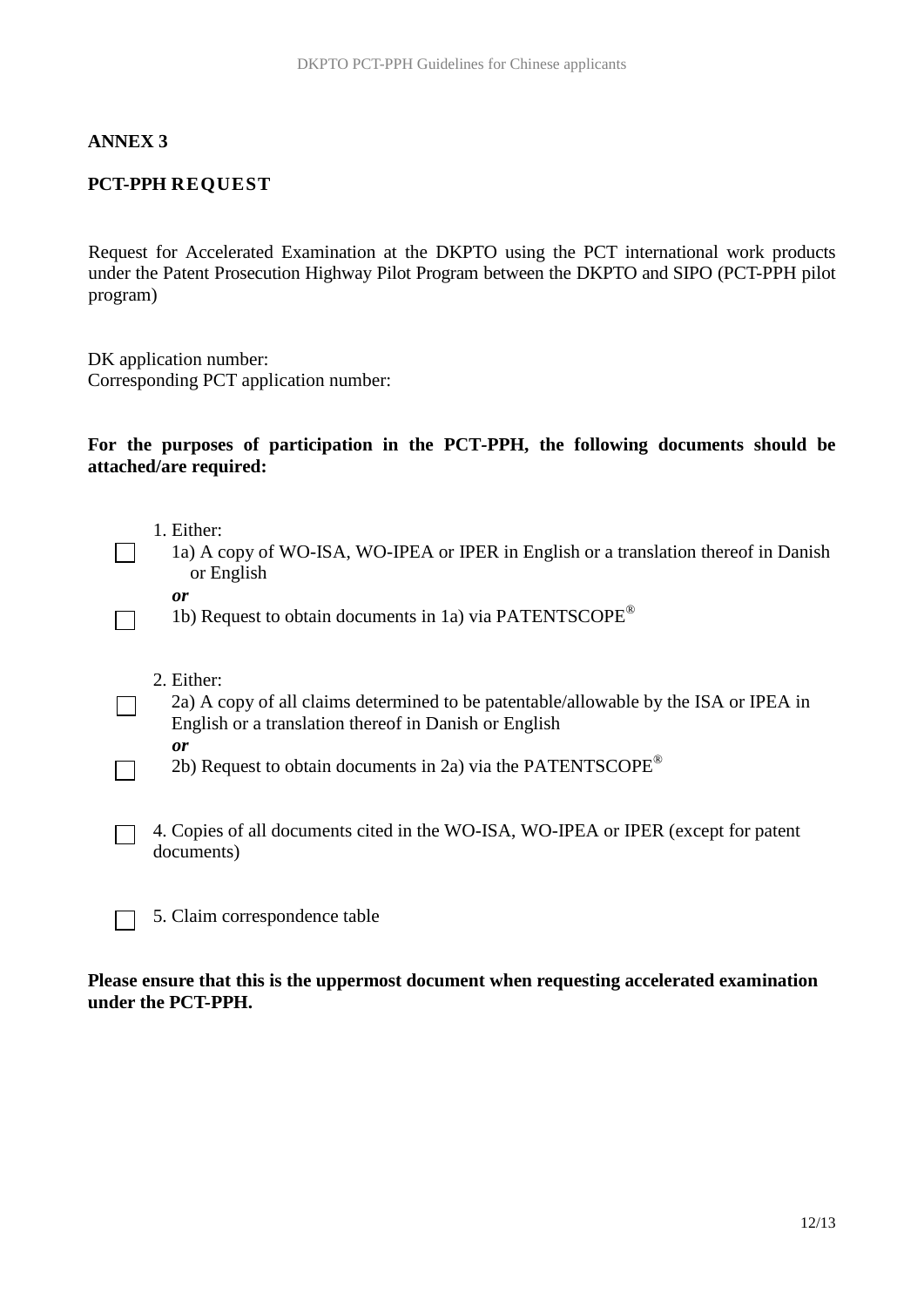#### **ANNEX 3**

#### **PCT-PPH REQUEST**

Request for Accelerated Examination at the DKPTO using the PCT international work products under the Patent Prosecution Highway Pilot Program between the DKPTO and SIPO (PCT-PPH pilot program)

DK application number: Corresponding PCT application number:

#### **For the purposes of participation in the PCT***-***PPH, the following documents should be attached/are required:**

- 1. Either:
- 1a) A copy of WO-ISA, WO-IPEA or IPER in English or a translation thereof in Danish or English
- *or*

 $\Box$ 

1b) Request to obtain documents in 1a) via PATENTSCOPE®

- 2. Either:
- 2a) A copy of all claims determined to be patentable/allowable by the ISA or IPEA in English or a translation thereof in Danish or English *or*
	- 2b) Request to obtain documents in 2a) via the PATENTSCOPE<sup>®</sup>
- 4. Copies of all documents cited in the WO-ISA, WO-IPEA or IPER (except for patent  $\Box$ documents)
	- 5. Claim correspondence table

#### **Please ensure that this is the uppermost document when requesting accelerated examination under the PCT-PPH.**